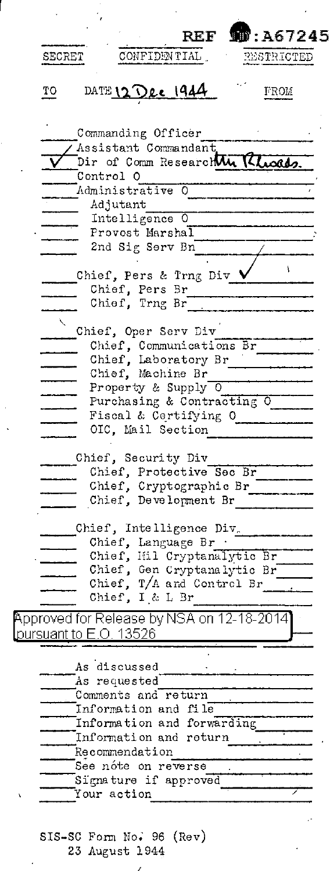|                               |                                                   | <b>REF 10:A67245</b> |
|-------------------------------|---------------------------------------------------|----------------------|
| SECRET                        | CONFIDENTIAL.                                     | RESTRICTED           |
| TО                            | DATE 12 Dec 1944                                  | FROM                 |
|                               | Commanding Officer                                |                      |
|                               | Assistant Commandant                              |                      |
|                               | Dir of Comm Research Mu Kluosd                    |                      |
|                               | Control O                                         |                      |
|                               | Administrative O                                  |                      |
|                               | Adjutant                                          |                      |
|                               | Intelligence 0<br>Provost Marshal                 |                      |
|                               | 2nd Sig Serv Bn                                   |                      |
|                               |                                                   |                      |
|                               | Chief, Pers & Trng Div \                          | ١                    |
|                               | Chief, Pers Br                                    |                      |
|                               | Chief, Trng Br                                    |                      |
|                               |                                                   |                      |
|                               | Chief, Oper Serv Div                              |                      |
|                               | Chief, Communications Br                          |                      |
|                               | Chief, Laboratory Br                              |                      |
|                               | Chief, Machine Br<br>Property & Supply O          |                      |
|                               | Purchasing & Contracting O                        |                      |
|                               | Fiscal & Certifying O                             |                      |
|                               | OIC, Mail Section                                 |                      |
|                               | Chief, Security Div                               |                      |
|                               | Chief, Protective Sec Br                          |                      |
|                               | Chief, Cryptographic Br                           |                      |
|                               | Chief, Development Br                             |                      |
|                               |                                                   |                      |
|                               | Chief, Intelligence Div.                          |                      |
|                               | Chief, Language Br<br>Chief, Hil Cryptanalytic Br |                      |
|                               | Chief, Gen Cryptanalytic Br                       |                      |
|                               | Chief, T/A and Control Br                         |                      |
|                               | Chief, I & L Br                                   |                      |
|                               | Approved for Release by NSA on 12-18-2014]        |                      |
| <u>pursuant to E.O. 13526</u> |                                                   |                      |
|                               | As discussed                                      |                      |
|                               | As requested                                      |                      |
|                               | Comments and return                               |                      |
|                               | Information and file                              |                      |
|                               | Information and forwarding                        |                      |
|                               | Information and return                            |                      |
|                               | Recommendation                                    |                      |
|                               | See nóte on reverse                               |                      |
|                               | Signature if approved                             |                      |
|                               | Your action                                       |                      |
|                               |                                                   |                      |

.

 $\ddot{\phantom{0}}$ 

l,

 $\lambda$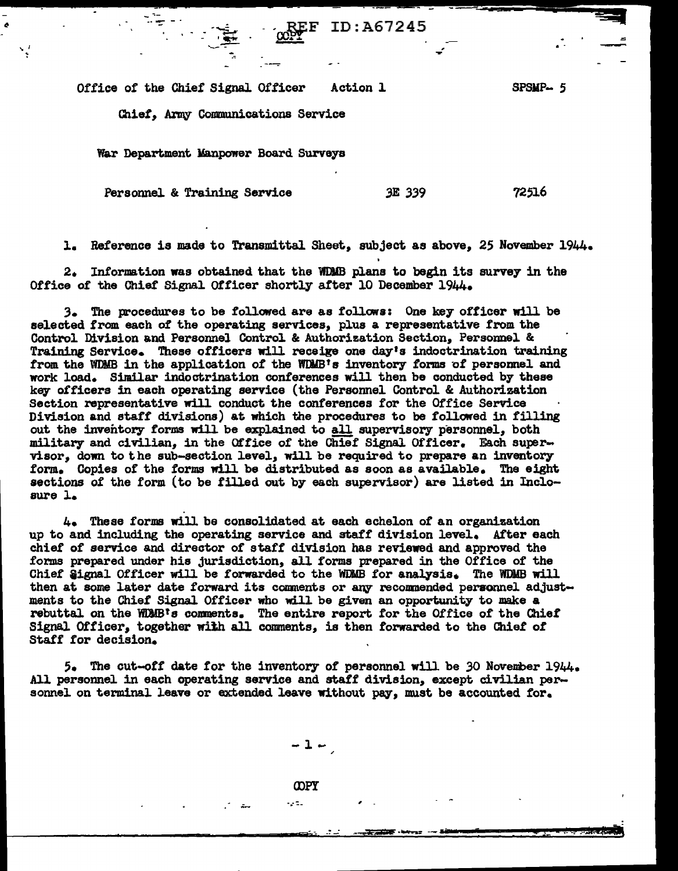ID:A67245  $\frac{1}{2}$   $\frac{1}{2}$   $\frac{1}{2}$   $\frac{1}{2}$   $\frac{1}{2}$   $\frac{1}{2}$   $\frac{1}{2}$   $\frac{1}{2}$   $\frac{1}{2}$   $\frac{1}{2}$   $\frac{1}{2}$   $\frac{1}{2}$   $\frac{1}{2}$   $\frac{1}{2}$   $\frac{1}{2}$   $\frac{1}{2}$   $\frac{1}{2}$   $\frac{1}{2}$   $\frac{1}{2}$   $\frac{1}{2}$   $\frac{1}{2}$   $\frac{1}{2$ 

Office of the Chief Signal Officer Action 1

--~ - ·~

SPSMP- 5

Qiiet, Army Communications Service

War Department Manpower Board Surveys

Personnel & Training Service 3E 339

. ... ...<br>. :-<br>.. ... . .

"I

. ....

72516

1. Reference is made to Transmittal Sheet, subject as above, 25 November 1944.

2. Information was obtained that the WDJIB plans to begin its survey in the Office or the Chief Signal Officer shortly after 10 December 1944.

3. The procedures to be followed are as follows: One key officer will be selected from each of the operating services, plus a representative from the Control Division and Personnel Control & Authorization Section, Persormel & Training Service. These officers will receige one day's indoctrination training from the WDMB in the application of the WDMB's inventory forms of personnel and work load. Similar indoctrination conferences will then be conducted by these key officers in each operating service (the Personnel Control & Authorization Section representative will conduct the conferences for the Office Service Division and staff' divisions) at which the procedures to be followed in filling out the inventory forms will be explained to all supervisory personnel, both military and civilian, in the Office of the Chief Signal Officer. Each supervisor, down to the sub-section level, will be required to prepare an inventory form. Copies of the forms will be distributed as soon as available. The eight sections of the form (to be filled out by each supervisor) are listed in Inclosure l.

4. These forms will be consolidated at each echelon of an organization up to and including the operating service and staff division level. After each chief of service and director of staff division has reviewed and approved the forms prepared under his jurisdiction, all forms prepared in the Office of the Chief Signal Officer will be forwarded to the WDMB for analysis. The WDMB will then at some later date forward its comments or any recommended personnel adjustments to the Chief Signal Officer who will. be given an opportunity to make a rebuttal on the WWB's conments. The entire report. for the Office *ot* the Chiet Signal Officer, together with all comments, is then forwarded to the Chief of Staff for decision.

5. The cut-off date for the inventory of personnel will be 30 November 1944. All personnel in each operating service and staff division, except civilian personnel on terminal leave or extended leave without pay, must be accounted for.

 $-1-$ 

**COPY** 

- - 11

 $\epsilon$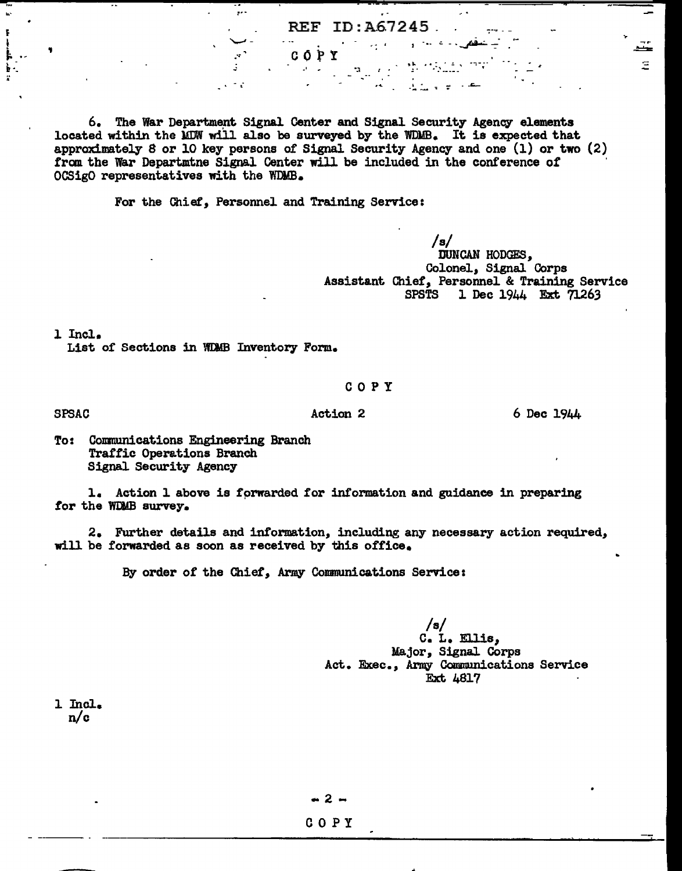REF ID:A67245.

 $\mathbb{R}^{1\times N}$  in  $\mathbb{R}^{N+1}$  in  $N$ 

6. The War Department Signal Center and Signal Security Agency elements located within the MDW will also be surveyed by the WDMB. It is expected that approximately 8 or 10 key persons of Signal Security Agency and one (1) or two (2) from the War Departmine Signal Center will be included in the conference of OCSigO representatives with the WDMB.

CÓPY

 $\mathcal{A}=\mathcal{A}$ 

For the Chiet, Personnel and Training Service:

/s/ **DUNCAN HODGES,** Colonel, Signal Corps Assistant Chief, Personnel & Training Service 1 Dec 1944 Ext 71263

l Incl.

SPSAC

,

List of Sections in WIMB Inventory Form.

### COPY

Action 2 6 Dec 1944

Ξ

To: Communications Engineering Branch Tratf'ic Operations Branch Signal Security Agency

l. Action l above is fprwarded for information and guidance in preparing for the WDMB survey.

2. Further details and information, including any necessary action required, will be forwarded as soon as received by this office.

By order of the Chief, Army Communications Service:

/s/ C. L. Ellis, Major, Signal Corps Act. Exec., Army Communications Service Ext 4817

1 Incl. n/c

- 2 -

## COPY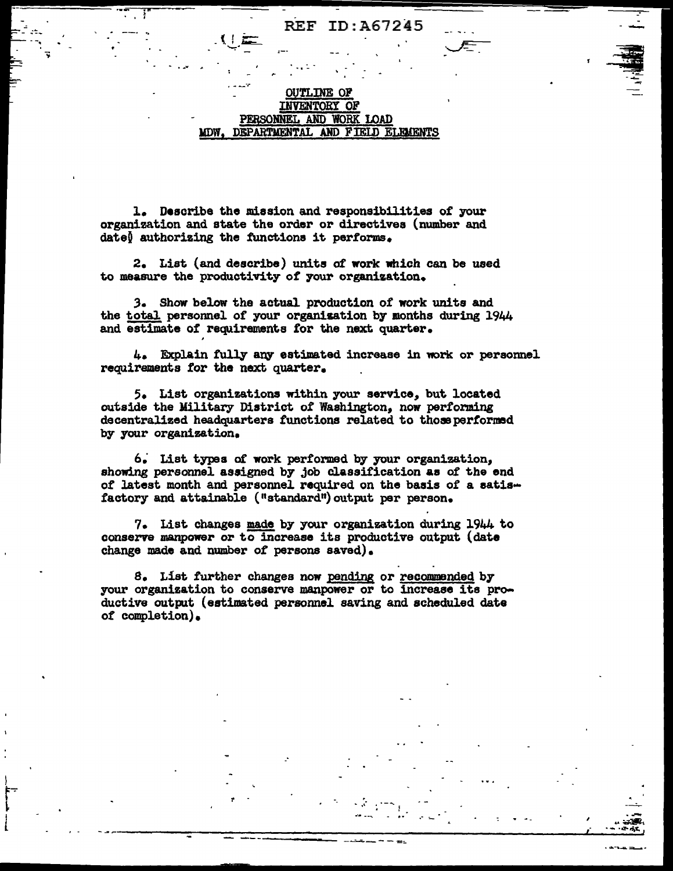### **REF** ID:A67245

### **OUTLINE OF** INVENTORY OF PERSONNEL AND WORK LOAD DEPARTMENTAL AND FIELD ELEMENTS MDW.

1. Describe the mission and responsibilities of your organization and state the order or directives (number and date) authorizing the functions it performs.

2. List (and describe) units of work which can be used to measure the productivity of your organization.

3. Show below the actual production of work units and the total personnel of your organization by months during 1944 and estimate of requirements for the next quarter.

4. Explain fully any estimated increase in work or personnel requirements for the next quarter.

5. List organizations within your service, but located outside the Military District of Washington, now performing decentralized headquarters functions related to those performed by your organization.

6. List types of work performed by your organization. showing personnel assigned by job classification as of the end of latest month and personnel required on the basis of a satisfactory and attainable ("standard") output per person.

7. List changes made by your organization during 1944 to conserve manpower or to increase its productive output (date change made and number of persons saved).

8. List further changes now pending or recommended by your organization to conserve manpower or to increase its productive output (estimated personnel saving and scheduled date of completion).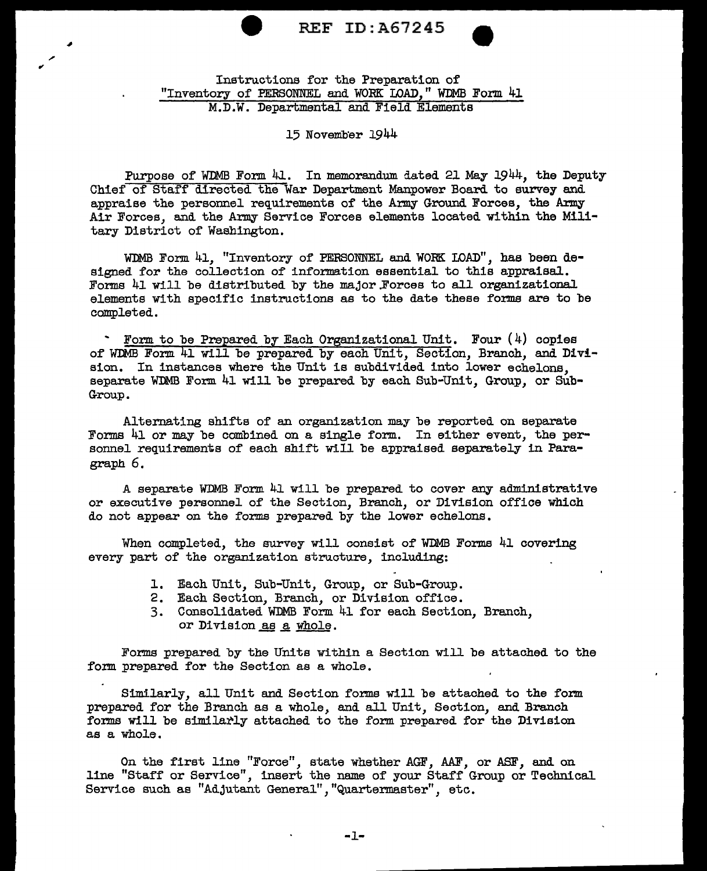

## Instructions for the Preparation of "Inventory of PERSONNEL and WORK LOAD, " WDMB Form 41 M.D.W. Departmental and Field Elements

### 15 Novemb'er 1944

Purpose of WDMB Form 41. In memorandum dated 21 May 1944, the Deputy Chief of Staff directed the War Department Manpower Board. to survey and appraise the personnel requirements of the Army Ground Forces, the Army Air Forces, and the Army Service Forces elements located within the Military District of Washington.

WDMB Form 41, "Inventory of PERSONNEL and WORK LOAD", has been designed for the collection of information essential to this appraisal. Forms 41 will be distributed by the major.Forces to all organizational elements with specific instructions as to the date these forms are to be completed.

 $\cdot$  Form to be Prepared by Each Organizational Unit. Four  $(4)$  copies of WDMB Form. 41 will be prepared by each Unit, Section, Branch, and Division. In instances where the Unit is subdivided into lower echelons, separate WDMB Form 41 will be prepared by each Sub-Unit, Group, or Sub-Group.

Alternating shifts of an organization may be reported on separate Forms 41 or may be combined on a single form. In either event, the personnel requirements of each shift will be appraised separately in Paragraph 6.

A separate WDMB Form 41 will be prepared to cover any administrative or executive personnel of the Section, Branch, or Division offioe which do not appear on the forms prepared by the lower echelons.

When completed, the survey will consist of WDMB Forms 41 covering every part of the organization structure, including:

- 1. Each Unit, Sub-Unit, Group, or Sub-Group.
- 2. Each Section, Branch, or Division office.
- 3. Consolidated WDMB Form 41 for each Section, Branch, or Division as a whole.

Forms prepared by the Units within a Section will be attached to the form prepared for the Section as a whole.

Similarly, all Unit and Section forms will be attached to the form prepared for the Branch as a whole, and all Unit, Section, and Branch forms will be similarly attached to the form prepared for the Division as a whole.

On the first line "Force", state whether AGF, AAF, or ASF, and on line "Staff or Service", insert the name of your Staff Group or Technical Service such as "Adjutant General", "Quartermaster", etc.

-1-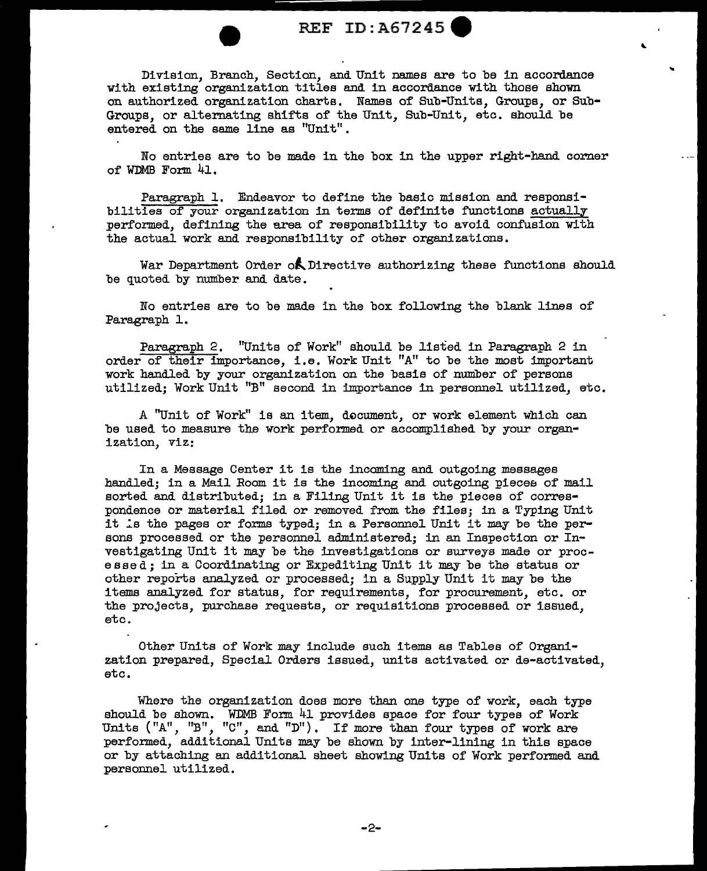## REF ID: A67245

..

Division, Branch, Section, and Unit names are to be in accordance with existing organization titles and in accordance with those shown on authorized organization charts. Names of Sub-Units, Groups, or Sub-Groups, or alternating shifts of the Unit, Sub-Unit, etc. should be entered on the same line as "Unit".

No entries are to be made in the box in the upper right-hand corner of WDMB Form  $41.$ 

Paragraph 1. Endeavor to define the basic mission and responsibilities of your organization in terms of definite functions actually performed, defining the area of responsibility to avoid confusion with the actual work and responsibility of other organizations.

War Department Order of Directive authorizing these functions should be quoted by number and date.

No entries are to be made in the box following the blank lines of Paragraph 1.

Paragraph 2, "Units of Work" should be listed in Paragraph 2 in order of their importance, i.e. Work Unit "A" to be the moat important work handled by your organization on the basis of number of persons utilized; Work Unit "B" second in importance in personnel utilized, etc.

A "Unit of Work" is an item, document, or work element which can be used to measure the work performed or accomplished by your organization, viz:

In a Message Center it is the incoming and outgoing messages handled; in a Mail Room it is the incoming and outgoing piecee of mail sorted and distributed; in a Filing Unit it is the pieces of correspondence or material filed or removed from the files; in a Typing Unit it is the pages or forms typed; in a Personnel Unit it may be the persons processed or the personnel administered; in an Inspection or Investigating Unit it may be the investigations or surveys made or processed; in a Coordinating or Expediting Unit it may be the status or other reports analyzed or processed; in a Supply Unit it may be the items analyzed for status, for requirements, for procurement, etc. or the projects, purchase requests, or requisitions processed or issued. etc.

Other Units of Work may include such items as Tables of Organization prepared, Special Orders issued, units activated or de-activated, etc.

Where the organization does more than one type of work, each type should be shown. WDMB Form 41 provides space for four types of Work Units ("A", "B", "C", and "D"). If more than four types of work are performed, additional Units may be shown by inter-lining in this apace or by attaching an additional sheet showing Units of Work performed and personnel utilized.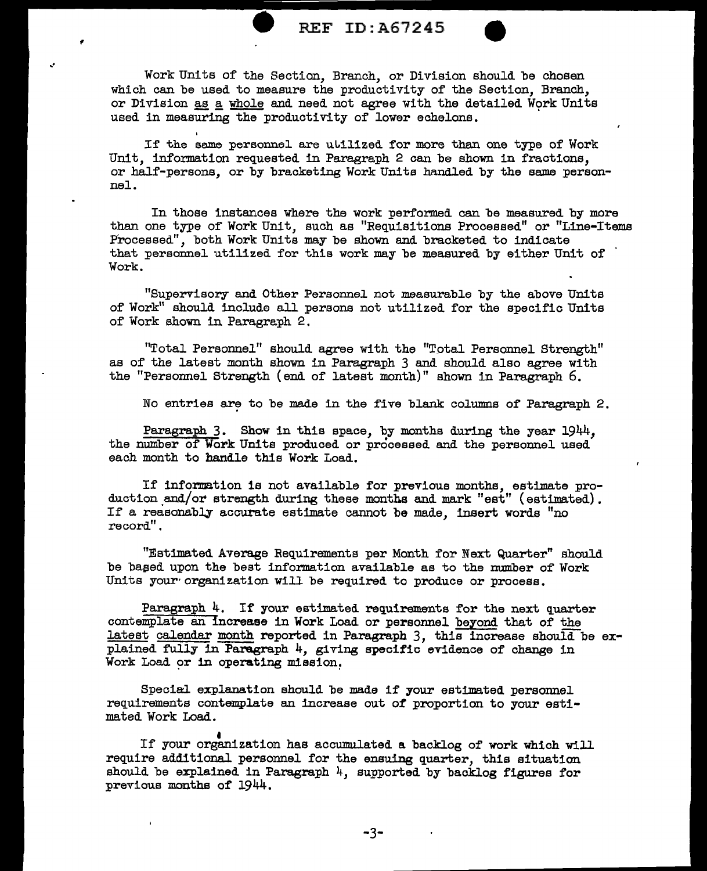

Work Units of the Section, Branch, or Division should be chosen which can be used to measure the productivity of the Section, Branch, or Division as a whole and need not agree with the detailed Work Units used in measuring the productivity of lower echelons.

..

If the same personnel are utilized for more than one type of Work Unit, information requested in Paragraph 2 can be shown in fractions. or half-persons, or by bracketing Work Units handled by the same personnel.

In those instances where the work performed can be measured by more than one type of Work Unit, such as "Requisitions Processed" or "Line-Items Processed", both Work Units may be shown and bracketed to indicate that personnel utilized for this work may be measured by either Unit of Work.

"Supervisory and Other Personnel not measurable by the above Uni ts of Work" should include all persons not utilized for the specific Units of Work shown in Paragraph 2.

"Total Personnel" should agree with the "Total Personnel Strength" as of the latest month shown in Paragraph 3 and should also agree with the "Personnel Strength (end of latest month)" shown in Paragraph 6.

No entries are to be made in the five blank columns of Paragraph 2.

Paragraph 3. Show in this space, by months during the year 1944. the number of Work Units produced or processed and the personnel used each month to handle this Work Load.

If information is not available for previous months, estimate production and/or strength during these months and mark "est" (estimated). If a reasonably accurate estimate cannot be made, insert words "no record".

"Estimated Average Requirements per Month for Next Quarter" should be based upon the best information available as to the number of Work Units your· organization will be required to produce or process.

Paragraph  $4$ . If your estimated requirements for the next quarter contemplate an increase in Work Load or personnel beyond that of the latest calendar month reported in Paragraph 3, this increase should be explained fully in Paragraph 4, giving specific evidence of change in Work Load or in operating mission.

Special explanation should be made if your estimated personnel requirements contemplate an increase out *of* proportion to your estimated Work Load.

If your organization has accumulated a backlog of work which will require additional personnel for the ensuing quarter, this situation should be explained in Paragraph  $4$ , supported by backlog figures for previous months of 1944.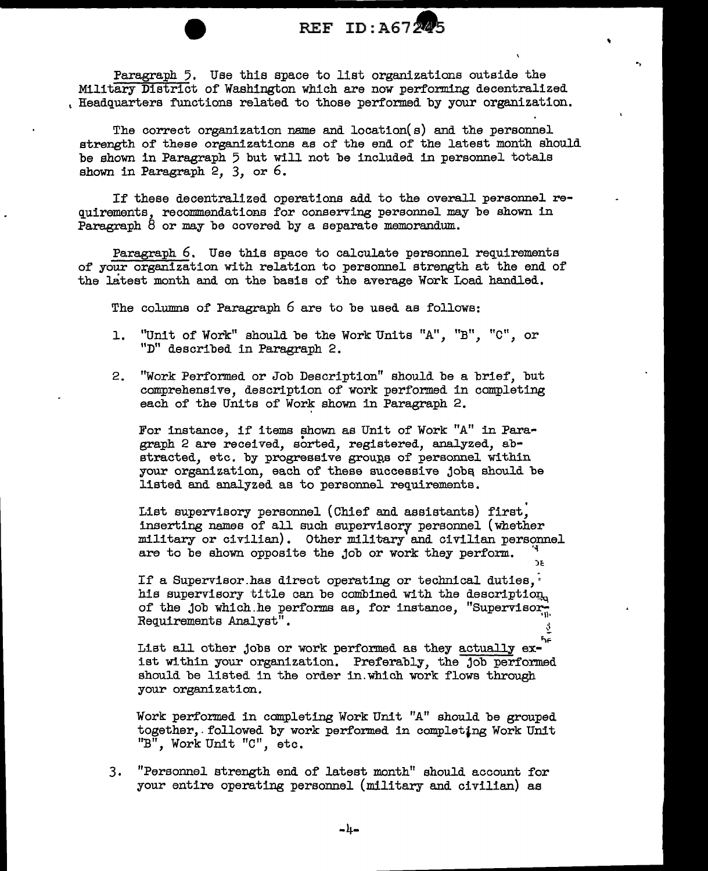# REF ID: A6724

..

.,

Paragraph 5. Use this space to list organizations outside the Military District of Washington which are now performing decentralized , Headquarters functions related to those performed by your organization.

The correct organization name and location(s) and the personnel strength of' these organizations as of' the end of the latest month should be shown in Paragraph 5 but will not be included in personnel totals shown in Paragraph 2, 3, or 6.

If these decentralized operations add to the overall personnel requirements, recommendations for conserving personnel may be shown in Paragraph  $8$  or may be covered by a separate memorandum.

Paragraph 6. Use this apace to calculate personnel requirements of' your organization with relation to personnel strength at the end of the latest month and on the basis of the average Work Load handled.

The columns of Paragraph 6 are to be used as follows:

- 1. "Unit of Work" should be the Work Units "A", "B". "C". or "D" described in Paragraph 2.
- 2. "Work Performed or Job Description" should be a brief, but comprehensive, description of work performed in completing each of the Units of Work shown in Paragraph 2.

For instance, if items shown as Unit of Work "A" in Paragraph 2 are received, sorted, registered, analyzed, abstracted, etc. by progressive groups of personnel within your organization, each of these successive jobs should be listed and analyzed as to personnel requirements.

List supervisory personnel (Chief and assistants) first, inserting names of all such supervisory personnel (whether military or civilian). Other military and civilian personnel are to be shown opposite the job or work they perform.  $\frac{4}{10}$ 

If a Supervisor has direct operating or technical duties, $~\cdot$ his supervisory title can be combined with the description. of the job which he performs as, for instance, "Supervisor-<br>Requirements Analyst". •'

List all other jobs or work performed as they actually  $ex$ ist within your organization. Preferably, the job performed should be listed in the order in.which work flows through your organization,

Work performed in completing Work Unit "A" should be grouped together,.followed by work performed in completing Work Unit "B", WorkUnit "C", etc.

3. "Personnel strength end of latest month" should account for your entire operating personnel (military and civilian) as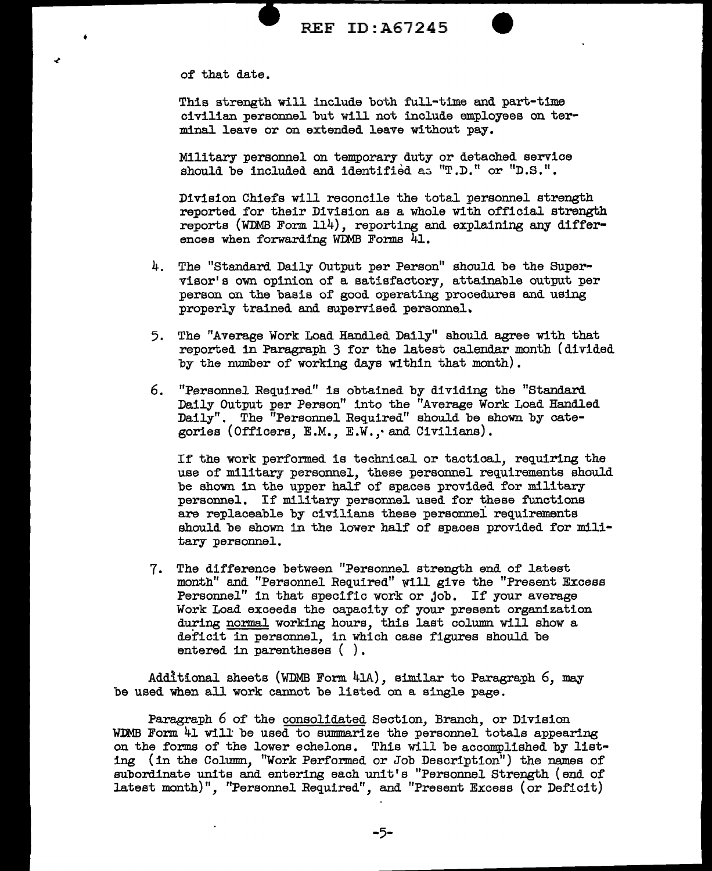

of that date.

•

Thia strength will include both full-time and part-time civilian personnel but will not include employees on terminal leave or on extended leave without pay.

Military personnel on temporary duty or detached service should be included and identified as "T.D." or "D.S.".

Division Chiefs will reconcile the total. personnel strength reported for their Division as a whole with official strength reports (WDMB Form 114), reporting and explaining any differences when forwarding WDMB Forms 41.

- 4. The "Standard Daily Output per Person" should be the Supervisor' a own opinion of a satisfactory, attainable output per person on the basis of good operating procedures and using properly trained and supervised personnel.
- 5. The "Average Work Load Handled Daily" should agree with that reported in Paragraph 3 for the latest calendar month (divided by the number of working days within that month).
- 6. "Personnel Required" is obtained by dividing the "Standard. Daily Output per Person" into the "Average Work Load Handled Daily". The "Personnel Required" should be shown by categories (Officers, E.M., E.W., and Civilians).

If the work performed is technical or tactical, requiring the use of military personnel, these personnel requirements should be shown in the upper half of spaces provided for military personnel. If military personnel used for these functions are replaceable by civilians these personnel requirements should be shown in the lower half of spaces provided for military personnel.

7. The difference between "Personnel. strength end of' latest month" and "Personnel Required" will give the "Present Excess Personnel" in that specific work or job. If your average Work Load exceeds the capacity of your present organization during normal working hours, this last column will show a deficit in personnel, in which case figures should be entered in parentheses ().

Addit:tonal sheets (WDMB Form 41A), similar to Paragraph 6, may be used when all work cannot be listed on a single page.

Paragraph 6 of the consolidated Section, Branch, or Division WDMB Form  $41$  will be used to summarize the personnel totals appearing on the forms of the lower echelons. This will be accomplished by listing (in the Column, "Work Performed or Job Description") the names of subordinate units and entering each unit's "Personnel Strength (end of latest month)", "Personnel. Required", and "Present Excess (or Deficit)